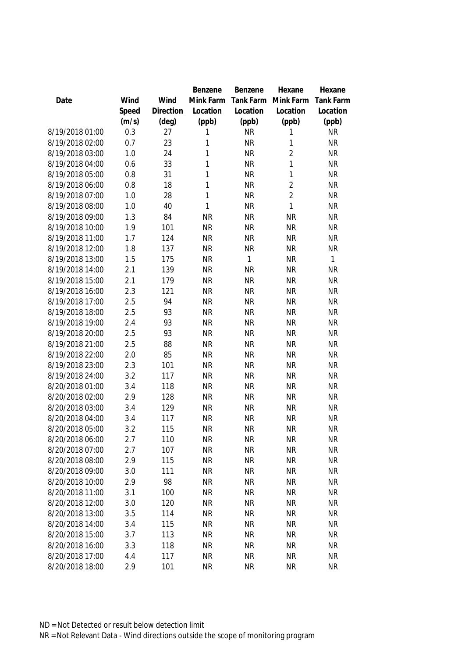|                 |       |           | Benzene      | Benzene   | Hexane         | Hexane           |
|-----------------|-------|-----------|--------------|-----------|----------------|------------------|
| Date            | Wind  | Wind      | Mink Farm    | Tank Farm | Mink Farm      | <b>Tank Farm</b> |
|                 | Speed | Direction | Location     | Location  | Location       | Location         |
|                 | (m/s) | (deg)     | (ppb)        | (ppb)     | (ppb)          | (ppb)            |
| 8/19/2018 01:00 | 0.3   | 27        | 1            | <b>NR</b> | 1              | <b>NR</b>        |
| 8/19/2018 02:00 | 0.7   | 23        | 1            | <b>NR</b> | 1              | <b>NR</b>        |
| 8/19/2018 03:00 | 1.0   | 24        | $\mathbf{1}$ | <b>NR</b> | $\overline{2}$ | <b>NR</b>        |
| 8/19/2018 04:00 | 0.6   | 33        | 1            | <b>NR</b> | 1              | <b>NR</b>        |
| 8/19/2018 05:00 | 0.8   | 31        | $\mathbf{1}$ | <b>NR</b> | 1              | <b>NR</b>        |
| 8/19/2018 06:00 | 0.8   | 18        | $\mathbf{1}$ | <b>NR</b> | $\overline{2}$ | <b>NR</b>        |
| 8/19/2018 07:00 | 1.0   | 28        | $\mathbf{1}$ | <b>NR</b> | $\overline{2}$ | <b>NR</b>        |
| 8/19/2018 08:00 | 1.0   | 40        | 1            | <b>NR</b> | 1              | <b>NR</b>        |
| 8/19/2018 09:00 | 1.3   | 84        | <b>NR</b>    | <b>NR</b> | <b>NR</b>      | <b>NR</b>        |
| 8/19/2018 10:00 | 1.9   | 101       | <b>NR</b>    | <b>NR</b> | <b>NR</b>      | <b>NR</b>        |
| 8/19/2018 11:00 | 1.7   | 124       | <b>NR</b>    | <b>NR</b> | <b>NR</b>      | <b>NR</b>        |
| 8/19/2018 12:00 | 1.8   | 137       | <b>NR</b>    | <b>NR</b> | <b>NR</b>      | <b>NR</b>        |
| 8/19/2018 13:00 | 1.5   | 175       | <b>NR</b>    | 1         | <b>NR</b>      | 1                |
| 8/19/2018 14:00 | 2.1   | 139       | <b>NR</b>    | <b>NR</b> | <b>NR</b>      | <b>NR</b>        |
| 8/19/2018 15:00 | 2.1   | 179       | <b>NR</b>    | <b>NR</b> | <b>NR</b>      | <b>NR</b>        |
| 8/19/2018 16:00 | 2.3   | 121       | <b>NR</b>    | <b>NR</b> | <b>NR</b>      | <b>NR</b>        |
| 8/19/2018 17:00 | 2.5   | 94        | <b>NR</b>    | <b>NR</b> | <b>NR</b>      | <b>NR</b>        |
| 8/19/2018 18:00 | 2.5   | 93        | <b>NR</b>    | <b>NR</b> | <b>NR</b>      | <b>NR</b>        |
| 8/19/2018 19:00 | 2.4   | 93        | <b>NR</b>    | <b>NR</b> | <b>NR</b>      | <b>NR</b>        |
| 8/19/2018 20:00 | 2.5   | 93        | <b>NR</b>    | <b>NR</b> | <b>NR</b>      | <b>NR</b>        |
| 8/19/2018 21:00 | 2.5   | 88        | <b>NR</b>    | <b>NR</b> | <b>NR</b>      | <b>NR</b>        |
| 8/19/2018 22:00 | 2.0   | 85        | <b>NR</b>    | <b>NR</b> | <b>NR</b>      | <b>NR</b>        |
| 8/19/2018 23:00 | 2.3   | 101       | <b>NR</b>    | <b>NR</b> | <b>NR</b>      | <b>NR</b>        |
| 8/19/2018 24:00 | 3.2   | 117       | <b>NR</b>    | <b>NR</b> | <b>NR</b>      | <b>NR</b>        |
| 8/20/2018 01:00 | 3.4   | 118       | <b>NR</b>    | <b>NR</b> | <b>NR</b>      | <b>NR</b>        |
| 8/20/2018 02:00 | 2.9   | 128       | <b>NR</b>    | <b>NR</b> | <b>NR</b>      | <b>NR</b>        |
| 8/20/2018 03:00 | 3.4   | 129       | <b>NR</b>    | <b>NR</b> | <b>NR</b>      | <b>NR</b>        |
| 8/20/2018 04:00 | 3.4   | 117       | <b>NR</b>    | <b>NR</b> | <b>NR</b>      | <b>NR</b>        |
| 8/20/2018 05:00 | 3.2   | 115       | <b>NR</b>    | <b>NR</b> | <b>NR</b>      | <b>NR</b>        |
| 8/20/2018 06:00 | 2.7   | 110       | <b>NR</b>    | <b>NR</b> | <b>NR</b>      | NR               |
| 8/20/2018 07:00 | 2.7   | 107       | <b>NR</b>    | <b>NR</b> | <b>NR</b>      | <b>NR</b>        |
| 8/20/2018 08:00 | 2.9   | 115       | <b>NR</b>    | <b>NR</b> | <b>NR</b>      | <b>NR</b>        |
| 8/20/2018 09:00 | 3.0   | 111       | <b>NR</b>    | <b>NR</b> | <b>NR</b>      | <b>NR</b>        |
| 8/20/2018 10:00 | 2.9   | 98        | <b>NR</b>    | NR        | <b>NR</b>      | <b>NR</b>        |
| 8/20/2018 11:00 | 3.1   | 100       | <b>NR</b>    | <b>NR</b> | <b>NR</b>      | <b>NR</b>        |
| 8/20/2018 12:00 | 3.0   | 120       | <b>NR</b>    | <b>NR</b> | <b>NR</b>      | <b>NR</b>        |
| 8/20/2018 13:00 | 3.5   | 114       | <b>NR</b>    | <b>NR</b> | <b>NR</b>      | <b>NR</b>        |
| 8/20/2018 14:00 | 3.4   | 115       | <b>NR</b>    | <b>NR</b> | <b>NR</b>      | <b>NR</b>        |
| 8/20/2018 15:00 | 3.7   | 113       | <b>NR</b>    | <b>NR</b> | <b>NR</b>      | <b>NR</b>        |
| 8/20/2018 16:00 | 3.3   | 118       | <b>NR</b>    | <b>NR</b> | <b>NR</b>      | <b>NR</b>        |
| 8/20/2018 17:00 | 4.4   | 117       | <b>NR</b>    | <b>NR</b> | <b>NR</b>      | <b>NR</b>        |
| 8/20/2018 18:00 | 2.9   | 101       | <b>NR</b>    | <b>NR</b> | <b>NR</b>      | <b>NR</b>        |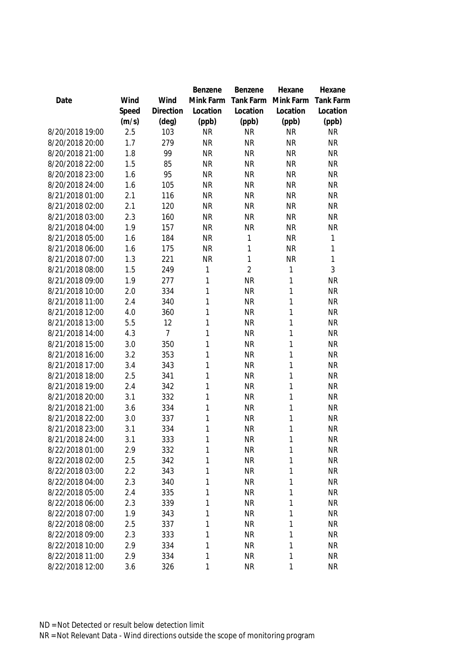|                 |       |                | Benzene      | Benzene        | Hexane    | Hexane           |
|-----------------|-------|----------------|--------------|----------------|-----------|------------------|
| Date            | Wind  | Wind           | Mink Farm    | Tank Farm      | Mink Farm | <b>Tank Farm</b> |
|                 | Speed | Direction      | Location     | Location       | Location  | Location         |
|                 | (m/s) | $(\text{deg})$ | (ppb)        | (ppb)          | (ppb)     | (ppb)            |
| 8/20/2018 19:00 | 2.5   | 103            | <b>NR</b>    | <b>NR</b>      | <b>NR</b> | <b>NR</b>        |
| 8/20/2018 20:00 | 1.7   | 279            | <b>NR</b>    | <b>NR</b>      | <b>NR</b> | <b>NR</b>        |
| 8/20/2018 21:00 | 1.8   | 99             | <b>NR</b>    | <b>NR</b>      | <b>NR</b> | <b>NR</b>        |
| 8/20/2018 22:00 | 1.5   | 85             | <b>NR</b>    | <b>NR</b>      | <b>NR</b> | <b>NR</b>        |
| 8/20/2018 23:00 | 1.6   | 95             | <b>NR</b>    | <b>NR</b>      | <b>NR</b> | <b>NR</b>        |
| 8/20/2018 24:00 | 1.6   | 105            | <b>NR</b>    | <b>NR</b>      | <b>NR</b> | <b>NR</b>        |
| 8/21/2018 01:00 | 2.1   | 116            | <b>NR</b>    | <b>NR</b>      | <b>NR</b> | <b>NR</b>        |
| 8/21/2018 02:00 | 2.1   | 120            | <b>NR</b>    | <b>NR</b>      | <b>NR</b> | <b>NR</b>        |
| 8/21/2018 03:00 | 2.3   | 160            | <b>NR</b>    | <b>NR</b>      | <b>NR</b> | <b>NR</b>        |
| 8/21/2018 04:00 | 1.9   | 157            | <b>NR</b>    | <b>NR</b>      | <b>NR</b> | <b>NR</b>        |
| 8/21/2018 05:00 | 1.6   | 184            | <b>NR</b>    | 1              | <b>NR</b> | 1                |
| 8/21/2018 06:00 | 1.6   | 175            | <b>NR</b>    | 1              | <b>NR</b> | 1                |
| 8/21/2018 07:00 | 1.3   | 221            | <b>NR</b>    | 1              | <b>NR</b> | 1                |
| 8/21/2018 08:00 | 1.5   | 249            | 1            | $\overline{2}$ | 1         | 3                |
| 8/21/2018 09:00 | 1.9   | 277            | 1            | <b>NR</b>      | 1         | <b>NR</b>        |
| 8/21/2018 10:00 | 2.0   | 334            | 1            | <b>NR</b>      | 1         | <b>NR</b>        |
| 8/21/2018 11:00 | 2.4   | 340            | 1            | <b>NR</b>      | 1         | <b>NR</b>        |
| 8/21/2018 12:00 | 4.0   | 360            | 1            | <b>NR</b>      | 1         | <b>NR</b>        |
| 8/21/2018 13:00 | 5.5   | 12             | 1            | <b>NR</b>      | 1         | <b>NR</b>        |
| 8/21/2018 14:00 | 4.3   | $\overline{7}$ | 1            | <b>NR</b>      | 1         | <b>NR</b>        |
| 8/21/2018 15:00 | 3.0   | 350            | 1            | <b>NR</b>      | 1         | <b>NR</b>        |
| 8/21/2018 16:00 | 3.2   | 353            | $\mathbf{1}$ | <b>NR</b>      | 1         | <b>NR</b>        |
| 8/21/2018 17:00 | 3.4   | 343            | 1            | <b>NR</b>      | 1         | <b>NR</b>        |
| 8/21/2018 18:00 | 2.5   | 341            | 1            | <b>NR</b>      | 1         | <b>NR</b>        |
| 8/21/2018 19:00 | 2.4   | 342            | 1            | <b>NR</b>      | 1         | <b>NR</b>        |
| 8/21/2018 20:00 | 3.1   | 332            | 1            | <b>NR</b>      | 1         | <b>NR</b>        |
| 8/21/2018 21:00 | 3.6   | 334            | 1            | <b>NR</b>      | 1         | <b>NR</b>        |
| 8/21/2018 22:00 | 3.0   | 337            | 1            | <b>NR</b>      | 1         | <b>NR</b>        |
| 8/21/2018 23:00 | 3.1   | 334            | 1            | <b>NR</b>      | 1         | <b>NR</b>        |
| 8/21/2018 24:00 | 3.1   | 333            | 1            | <b>NR</b>      | 1         | <b>NR</b>        |
| 8/22/2018 01:00 | 2.9   | 332            | 1            | <b>NR</b>      | 1         | <b>NR</b>        |
| 8/22/2018 02:00 | 2.5   | 342            | 1            | <b>NR</b>      | 1         | <b>NR</b>        |
| 8/22/2018 03:00 | 2.2   | 343            | 1            | <b>NR</b>      | 1         | <b>NR</b>        |
| 8/22/2018 04:00 | 2.3   | 340            | 1            | <b>NR</b>      | 1         | <b>NR</b>        |
| 8/22/2018 05:00 | 2.4   | 335            | 1            | <b>NR</b>      | 1         | <b>NR</b>        |
| 8/22/2018 06:00 | 2.3   | 339            | 1            | <b>NR</b>      | 1         | <b>NR</b>        |
| 8/22/2018 07:00 | 1.9   | 343            | 1            | <b>NR</b>      | 1         | <b>NR</b>        |
| 8/22/2018 08:00 | 2.5   | 337            | 1            | <b>NR</b>      | 1         | <b>NR</b>        |
| 8/22/2018 09:00 | 2.3   | 333            | 1            | <b>NR</b>      | 1         | <b>NR</b>        |
| 8/22/2018 10:00 | 2.9   | 334            | 1            | <b>NR</b>      | 1         | <b>NR</b>        |
| 8/22/2018 11:00 | 2.9   | 334            | $\mathbf{1}$ | <b>NR</b>      | 1         | <b>NR</b>        |
| 8/22/2018 12:00 | 3.6   | 326            | 1            | <b>NR</b>      | 1         | <b>NR</b>        |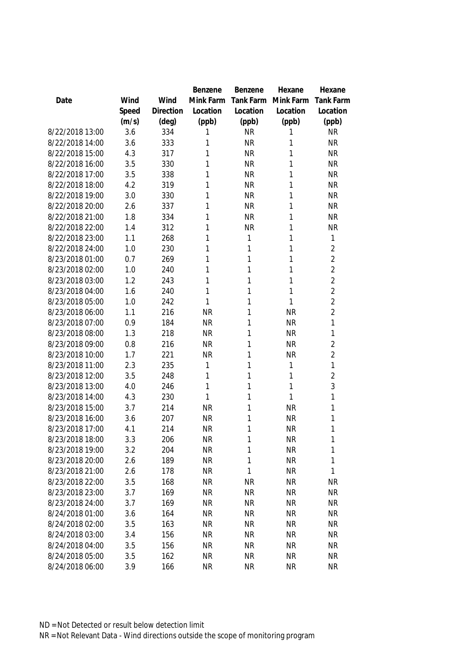|                 |       |                | Benzene   | Benzene   | Hexane       | Hexane           |
|-----------------|-------|----------------|-----------|-----------|--------------|------------------|
| Date            | Wind  | Wind           | Mink Farm | Tank Farm | Mink Farm    | <b>Tank Farm</b> |
|                 | Speed | Direction      | Location  | Location  | Location     | Location         |
|                 | (m/s) | $(\text{deg})$ | (ppb)     | (ppb)     | (ppb)        | (ppb)            |
| 8/22/2018 13:00 | 3.6   | 334            | 1         | <b>NR</b> | 1            | <b>NR</b>        |
| 8/22/2018 14:00 | 3.6   | 333            | 1         | <b>NR</b> | 1            | <b>NR</b>        |
| 8/22/2018 15:00 | 4.3   | 317            | 1         | <b>NR</b> | 1            | <b>NR</b>        |
| 8/22/2018 16:00 | 3.5   | 330            | 1         | <b>NR</b> | 1            | <b>NR</b>        |
| 8/22/2018 17:00 | 3.5   | 338            | 1         | <b>NR</b> | 1            | <b>NR</b>        |
| 8/22/2018 18:00 | 4.2   | 319            | 1         | <b>NR</b> | 1            | <b>NR</b>        |
| 8/22/2018 19:00 | 3.0   | 330            | 1         | <b>NR</b> | 1            | <b>NR</b>        |
| 8/22/2018 20:00 | 2.6   | 337            | 1         | <b>NR</b> | 1            | <b>NR</b>        |
| 8/22/2018 21:00 | 1.8   | 334            | 1         | <b>NR</b> | 1            | <b>NR</b>        |
| 8/22/2018 22:00 | 1.4   | 312            | 1         | <b>NR</b> | 1            | <b>NR</b>        |
| 8/22/2018 23:00 | 1.1   | 268            | 1         | 1         | 1            | 1                |
| 8/22/2018 24:00 | 1.0   | 230            | 1         | 1         | 1            | $\overline{2}$   |
| 8/23/2018 01:00 | 0.7   | 269            | 1         | 1         | 1            | $\overline{2}$   |
| 8/23/2018 02:00 | 1.0   | 240            | 1         | 1         | 1            | $\overline{2}$   |
| 8/23/2018 03:00 | 1.2   | 243            | 1         | 1         | 1            | $\overline{2}$   |
| 8/23/2018 04:00 | 1.6   | 240            | 1         | 1         | 1            | $\overline{2}$   |
| 8/23/2018 05:00 | 1.0   | 242            | 1         | 1         | 1            | $\overline{2}$   |
| 8/23/2018 06:00 | 1.1   | 216            | <b>NR</b> | 1         | <b>NR</b>    | $\overline{2}$   |
| 8/23/2018 07:00 | 0.9   | 184            | <b>NR</b> | 1         | <b>NR</b>    | 1                |
| 8/23/2018 08:00 | 1.3   | 218            | <b>NR</b> | 1         | <b>NR</b>    | 1                |
| 8/23/2018 09:00 | 0.8   | 216            | <b>NR</b> | 1         | <b>NR</b>    | $\overline{2}$   |
| 8/23/2018 10:00 | 1.7   | 221            | <b>NR</b> | 1         | <b>NR</b>    | $\overline{2}$   |
| 8/23/2018 11:00 | 2.3   | 235            | 1         | 1         | $\mathbf{1}$ | $\mathbf{1}$     |
| 8/23/2018 12:00 | 3.5   | 248            | 1         | 1         | 1            | $\overline{2}$   |
| 8/23/2018 13:00 | 4.0   | 246            | 1         | 1         | 1            | 3                |
| 8/23/2018 14:00 | 4.3   | 230            | 1         | 1         | 1            | 1                |
| 8/23/2018 15:00 | 3.7   | 214            | <b>NR</b> | 1         | <b>NR</b>    | 1                |
| 8/23/2018 16:00 | 3.6   | 207            | <b>NR</b> | 1         | <b>NR</b>    | 1                |
| 8/23/2018 17:00 | 4.1   | 214            | <b>NR</b> | 1         | <b>NR</b>    | 1                |
| 8/23/2018 18:00 | 3.3   | 206            | <b>NR</b> | 1         | <b>NR</b>    | 1                |
| 8/23/2018 19:00 | 3.2   | 204            | <b>NR</b> | 1         | <b>NR</b>    | 1                |
| 8/23/2018 20:00 | 2.6   | 189            | <b>NR</b> | 1         | <b>NR</b>    | 1                |
| 8/23/2018 21:00 | 2.6   | 178            | <b>NR</b> | 1         | <b>NR</b>    | 1                |
| 8/23/2018 22:00 | 3.5   | 168            | <b>NR</b> | <b>NR</b> | <b>NR</b>    | NR               |
| 8/23/2018 23:00 | 3.7   | 169            | <b>NR</b> | <b>NR</b> | <b>NR</b>    | <b>NR</b>        |
| 8/23/2018 24:00 | 3.7   | 169            | <b>NR</b> | <b>NR</b> | <b>NR</b>    | <b>NR</b>        |
| 8/24/2018 01:00 | 3.6   | 164            | <b>NR</b> | <b>NR</b> | <b>NR</b>    | <b>NR</b>        |
| 8/24/2018 02:00 | 3.5   | 163            | <b>NR</b> | <b>NR</b> | <b>NR</b>    | NR               |
| 8/24/2018 03:00 | 3.4   | 156            | <b>NR</b> | <b>NR</b> | <b>NR</b>    | <b>NR</b>        |
| 8/24/2018 04:00 | 3.5   | 156            | <b>NR</b> | <b>NR</b> | <b>NR</b>    | <b>NR</b>        |
| 8/24/2018 05:00 | 3.5   | 162            | <b>NR</b> | <b>NR</b> | <b>NR</b>    | <b>NR</b>        |
| 8/24/2018 06:00 | 3.9   | 166            | <b>NR</b> | <b>NR</b> | <b>NR</b>    | <b>NR</b>        |